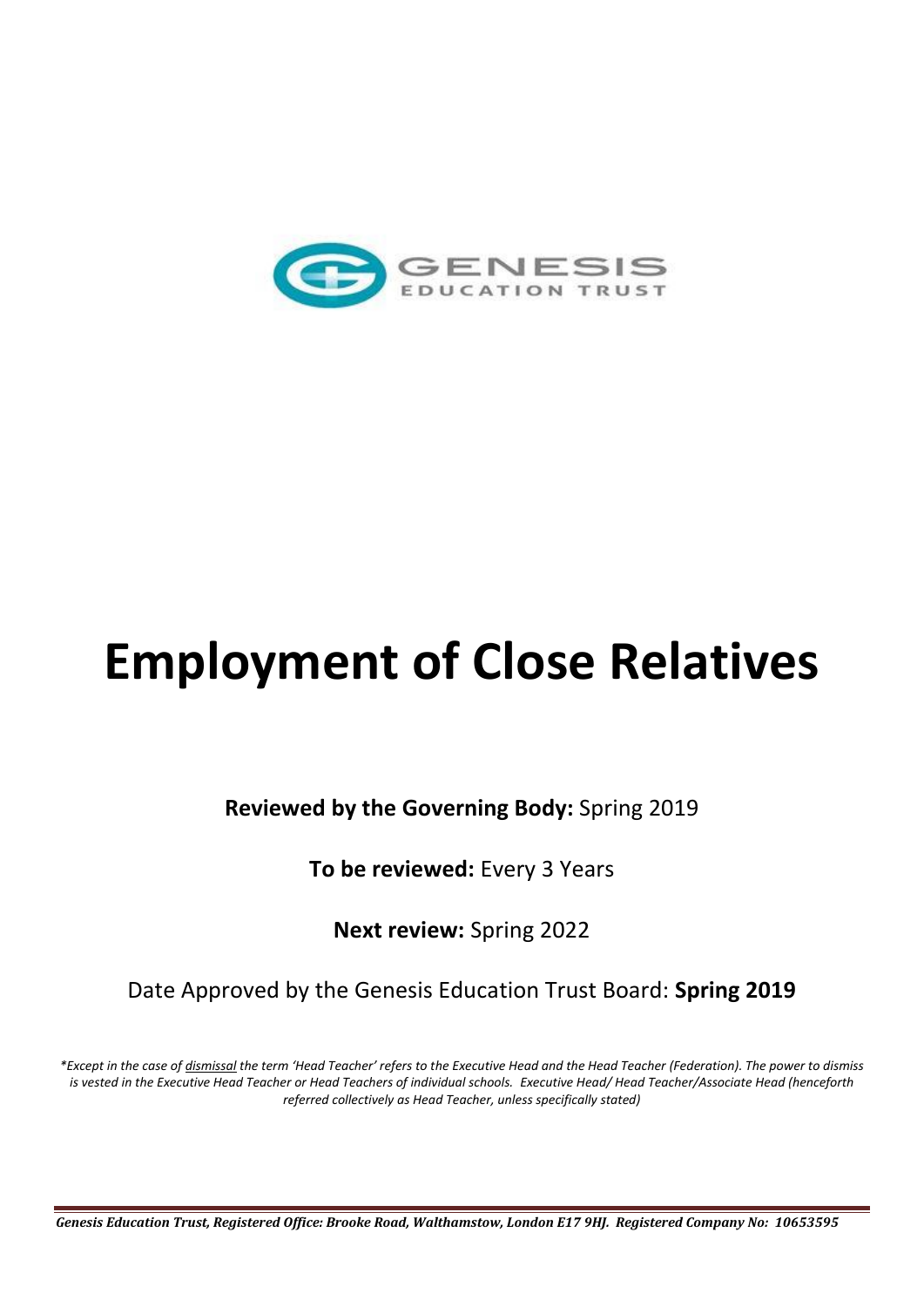

# **Employment of Close Relatives**

**Reviewed by the Governing Body:** Spring 2019

**To be reviewed:** Every 3 Years

**Next review:** Spring 2022

Date Approved by the Genesis Education Trust Board: **Spring 2019**

*\*Except in the case of dismissal the term 'Head Teacher' refers to the Executive Head and the Head Teacher (Federation). The power to dismiss is vested in the Executive Head Teacher or Head Teachers of individual schools. Executive Head/ Head Teacher/Associate Head (henceforth referred collectively as Head Teacher, unless specifically stated)*

*Genesis Education Trust, Registered Office: Brooke Road, Walthamstow, London E17 9HJ. Registered Company No: 10653595*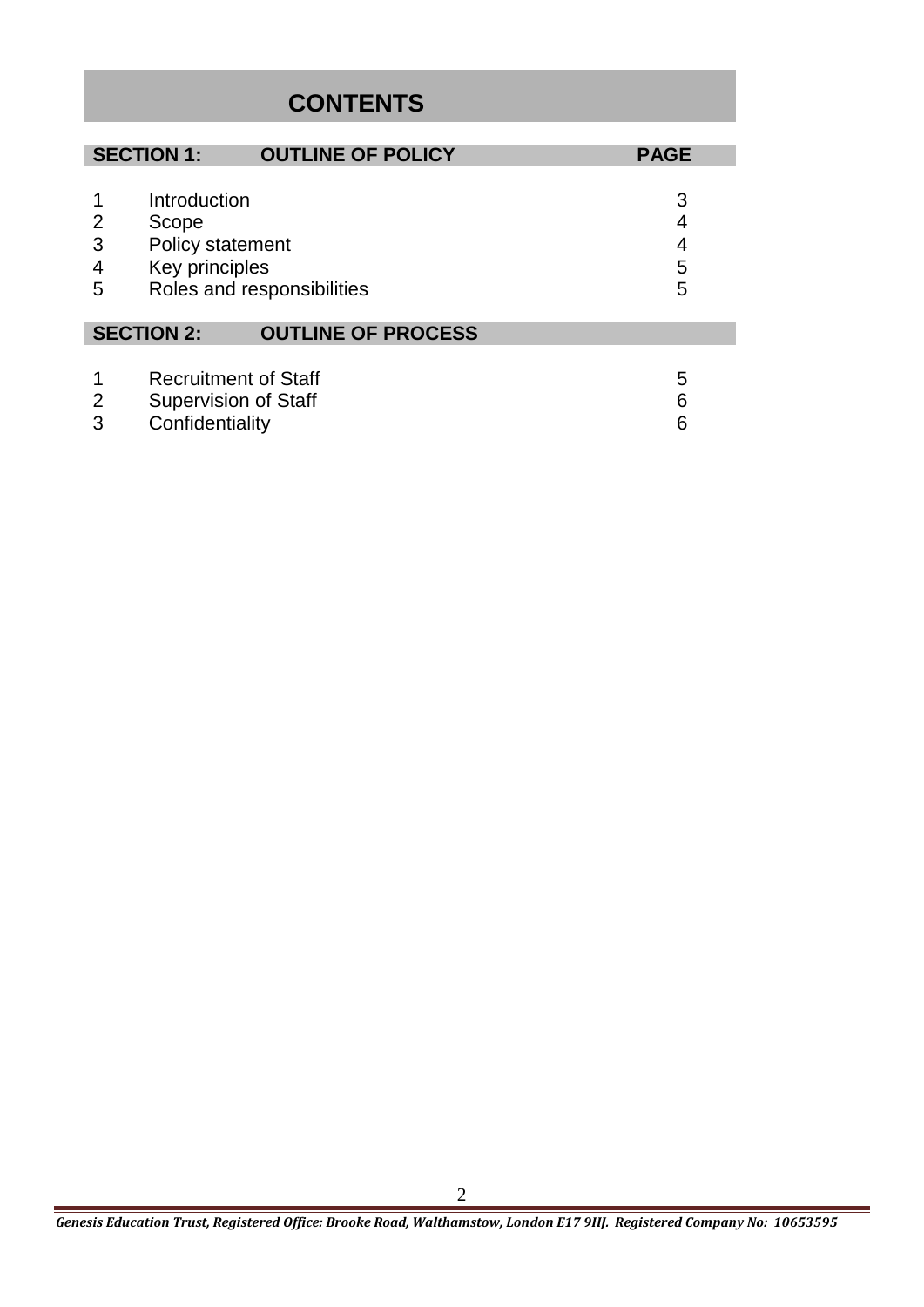## **CONTENTS**

|                  | <b>SECTION 1:</b>                                                             | <b>OUTLINE OF POLICY</b>   | <b>PAGE</b>           |
|------------------|-------------------------------------------------------------------------------|----------------------------|-----------------------|
| 2<br>3<br>4<br>5 | Introduction<br>Scope<br>Policy statement<br>Key principles                   | Roles and responsibilities | 3<br>4<br>4<br>5<br>5 |
|                  | <b>SECTION 2:</b>                                                             | <b>OUTLINE OF PROCESS</b>  |                       |
| 2<br>3           | <b>Recruitment of Staff</b><br><b>Supervision of Staff</b><br>Confidentiality |                            | 5<br>6<br>6           |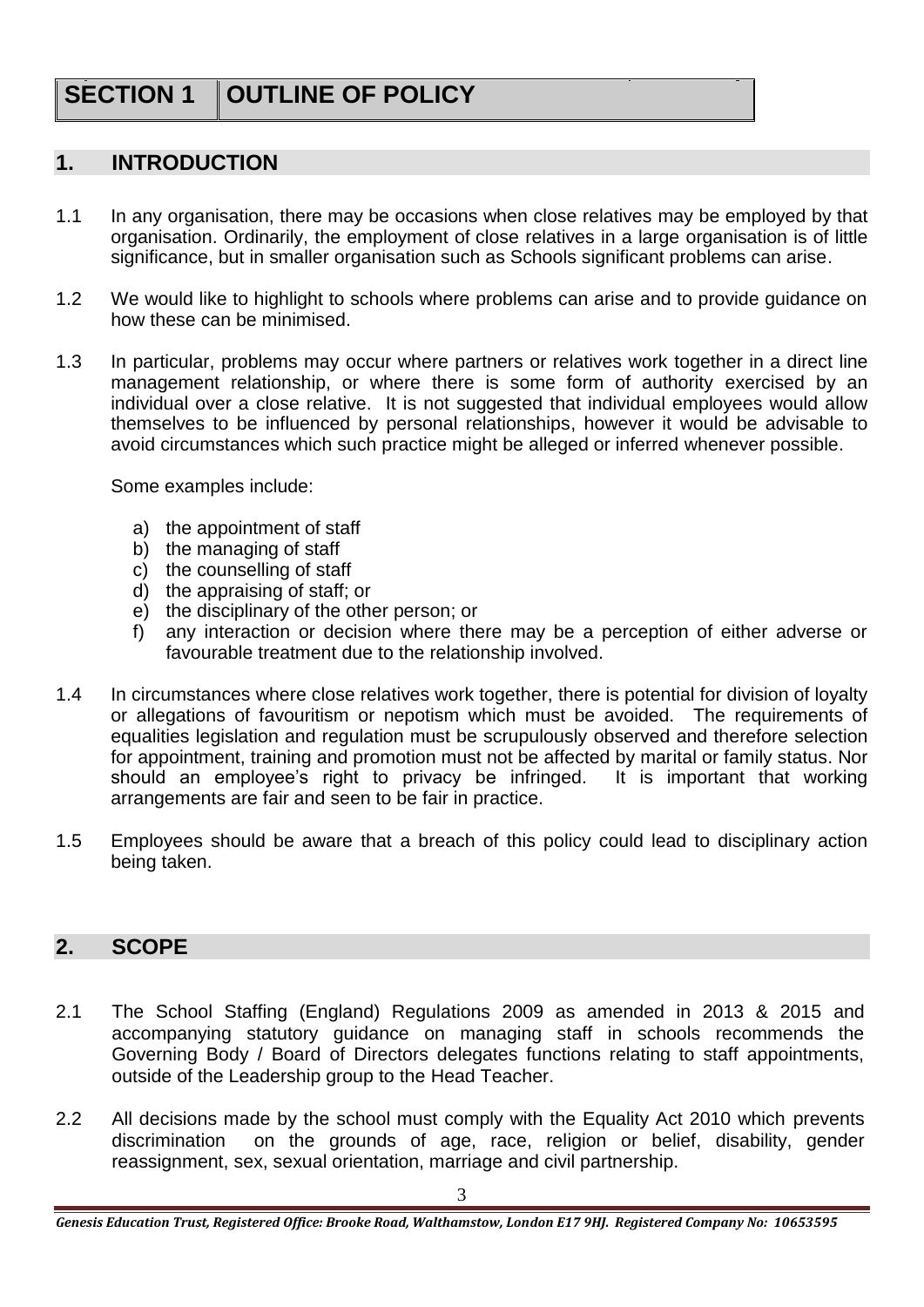# **SECTION 1 | OUTLINE OF POLICY**

#### **1. INTRODUCTION**

- 1.1 In any organisation, there may be occasions when close relatives may be employed by that organisation. Ordinarily, the employment of close relatives in a large organisation is of little significance, but in smaller organisation such as Schools significant problems can arise.
- 1.2 We would like to highlight to schools where problems can arise and to provide guidance on how these can be minimised.
- 1.3 In particular, problems may occur where partners or relatives work together in a direct line management relationship, or where there is some form of authority exercised by an individual over a close relative. It is not suggested that individual employees would allow themselves to be influenced by personal relationships, however it would be advisable to avoid circumstances which such practice might be alleged or inferred whenever possible.

Some examples include:

- a) the appointment of staff
- b) the managing of staff
- c) the counselling of staff
- d) the appraising of staff; or
- e) the disciplinary of the other person; or
- f) any interaction or decision where there may be a perception of either adverse or favourable treatment due to the relationship involved.
- 1.4 In circumstances where close relatives work together, there is potential for division of loyalty or allegations of favouritism or nepotism which must be avoided. The requirements of equalities legislation and regulation must be scrupulously observed and therefore selection for appointment, training and promotion must not be affected by marital or family status. Nor should an employee's right to privacy be infringed. It is important that working arrangements are fair and seen to be fair in practice.
- 1.5 Employees should be aware that a breach of this policy could lead to disciplinary action being taken.

### **2. SCOPE**

- 2.1 The School Staffing (England) Regulations 2009 as amended in 2013 & 2015 and accompanying statutory guidance on managing staff in schools recommends the Governing Body / Board of Directors delegates functions relating to staff appointments, outside of the Leadership group to the Head Teacher.
- 2.2 All decisions made by the school must comply with the Equality Act 2010 which prevents discrimination on the grounds of age, race, religion or belief, disability, gender reassignment, sex, sexual orientation, marriage and civil partnership.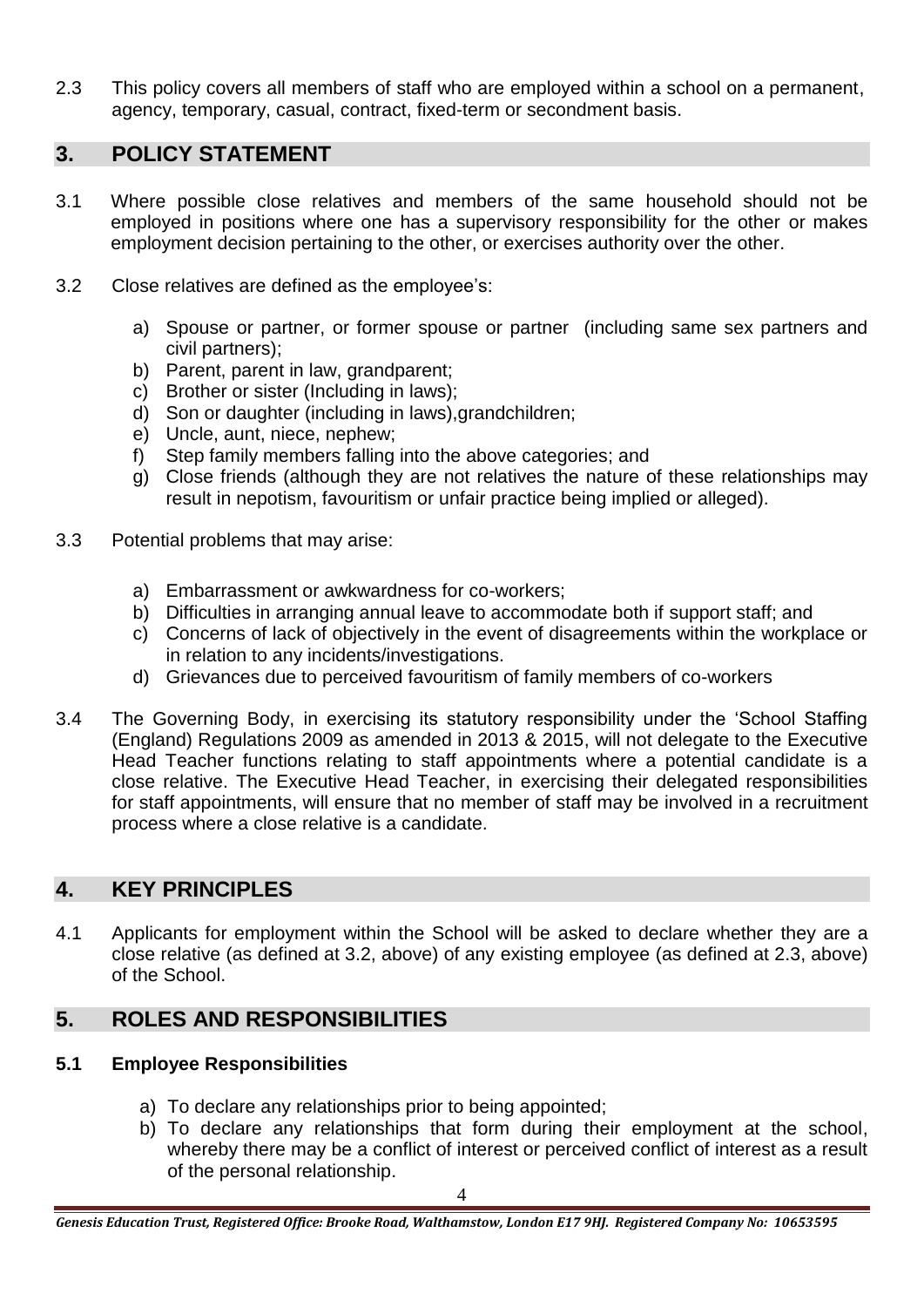2.3 This policy covers all members of staff who are employed within a school on a permanent, agency, temporary, casual, contract, fixed-term or secondment basis.

#### **3. POLICY STATEMENT**

- 3.1 Where possible close relatives and members of the same household should not be employed in positions where one has a supervisory responsibility for the other or makes employment decision pertaining to the other, or exercises authority over the other.
- 3.2 Close relatives are defined as the employee's:
	- a) Spouse or partner, or former spouse or partner (including same sex partners and civil partners);
	- b) Parent, parent in law, grandparent;
	- c) Brother or sister (Including in laws);
	- d) Son or daughter (including in laws),grandchildren;
	- e) Uncle, aunt, niece, nephew;
	- f) Step family members falling into the above categories; and
	- g) Close friends (although they are not relatives the nature of these relationships may result in nepotism, favouritism or unfair practice being implied or alleged).
- 3.3 Potential problems that may arise:
	- a) Embarrassment or awkwardness for co-workers;
	- b) Difficulties in arranging annual leave to accommodate both if support staff; and
	- c) Concerns of lack of objectively in the event of disagreements within the workplace or in relation to any incidents/investigations.
	- d) Grievances due to perceived favouritism of family members of co-workers
- 3.4 The Governing Body, in exercising its statutory responsibility under the 'School Staffing (England) Regulations 2009 as amended in 2013 & 2015, will not delegate to the Executive Head Teacher functions relating to staff appointments where a potential candidate is a close relative. The Executive Head Teacher, in exercising their delegated responsibilities for staff appointments, will ensure that no member of staff may be involved in a recruitment process where a close relative is a candidate.

## **4. KEY PRINCIPLES**

4.1 Applicants for employment within the School will be asked to declare whether they are a close relative (as defined at 3.2, above) of any existing employee (as defined at 2.3, above) of the School.

## **5. ROLES AND RESPONSIBILITIES**

#### **5.1 Employee Responsibilities**

- a) To declare any relationships prior to being appointed;
- b) To declare any relationships that form during their employment at the school, whereby there may be a conflict of interest or perceived conflict of interest as a result of the personal relationship.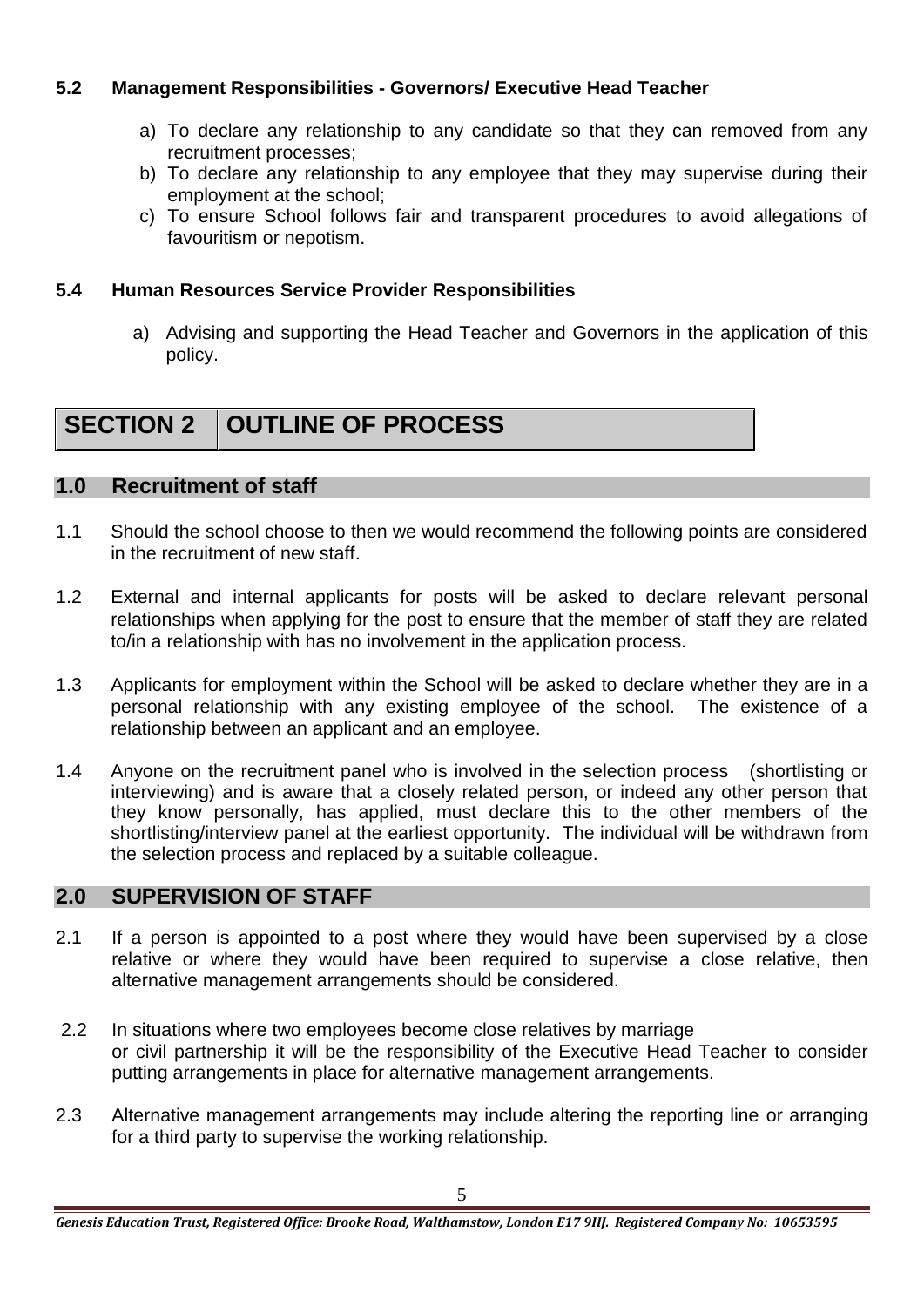#### **5.2 Management Responsibilities - Governors/ Executive Head Teacher**

- a) To declare any relationship to any candidate so that they can removed from any recruitment processes;
- b) To declare any relationship to any employee that they may supervise during their employment at the school;
- c) To ensure School follows fair and transparent procedures to avoid allegations of favouritism or nepotism.

#### **5.4 Human Resources Service Provider Responsibilities**

a) Advising and supporting the Head Teacher and Governors in the application of this policy.

# **SECTION 2 OUTLINE OF PROCESS**

#### **1.0 Recruitment of staff**

- 1.1 Should the school choose to then we would recommend the following points are considered in the recruitment of new staff.
- 1.2 External and internal applicants for posts will be asked to declare relevant personal relationships when applying for the post to ensure that the member of staff they are related to/in a relationship with has no involvement in the application process.
- 1.3 Applicants for employment within the School will be asked to declare whether they are in a personal relationship with any existing employee of the school. The existence of a relationship between an applicant and an employee.
- 1.4 Anyone on the recruitment panel who is involved in the selection process (shortlisting or interviewing) and is aware that a closely related person, or indeed any other person that they know personally, has applied, must declare this to the other members of the shortlisting/interview panel at the earliest opportunity. The individual will be withdrawn from the selection process and replaced by a suitable colleague.

#### **2.0 SUPERVISION OF STAFF**

- 2.1 If a person is appointed to a post where they would have been supervised by a close relative or where they would have been required to supervise a close relative, then alternative management arrangements should be considered.
- 2.2 In situations where two employees become close relatives by marriage or civil partnership it will be the responsibility of the Executive Head Teacher to consider putting arrangements in place for alternative management arrangements.
- 2.3 Alternative management arrangements may include altering the reporting line or arranging for a third party to supervise the working relationship.